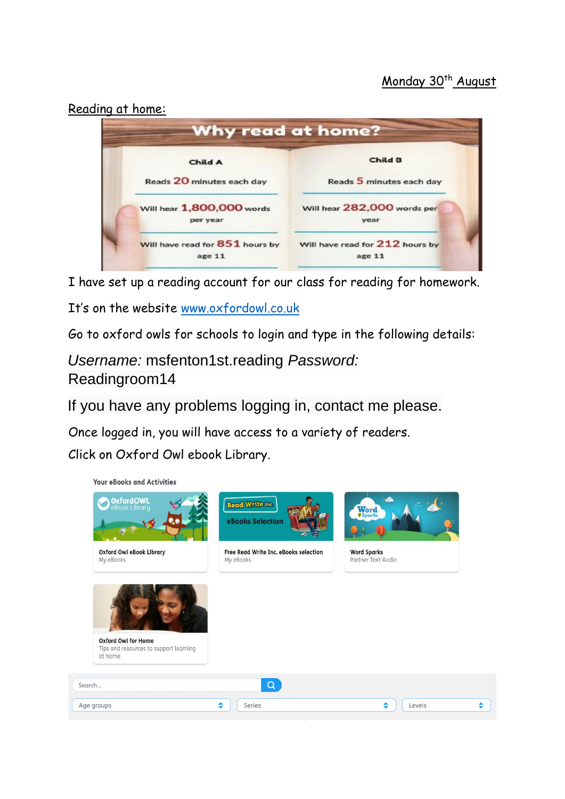Reading at home:



I have set up a reading account for our class for reading for homework.

It's on the website [www.oxfordowl.co.uk](http://www.oxfordowl.co.uk/)

Go to oxford owls for schools to login and type in the following details:

*Username:* msfenton1st.reading *Password:* Readingroom14

If you have any problems logging in, contact me please.

Once logged in, you will have access to a variety of readers.

Click on Oxford Owl ebook Library.